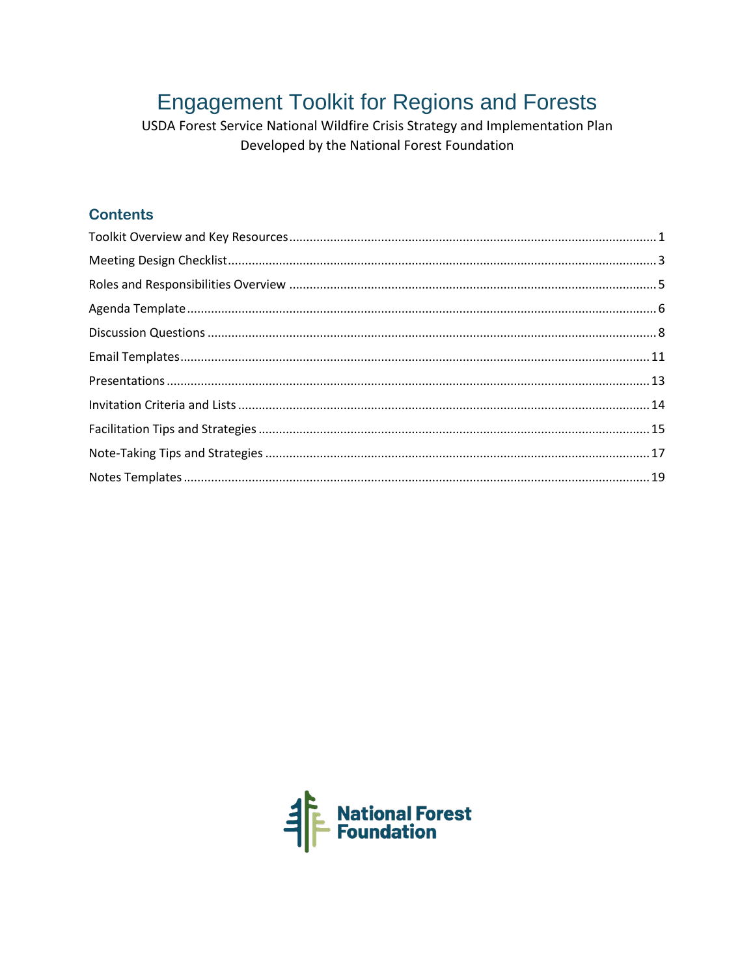# **Engagement Toolkit for Regions and Forests**

USDA Forest Service National Wildfire Crisis Strategy and Implementation Plan Developed by the National Forest Foundation

## **Contents**

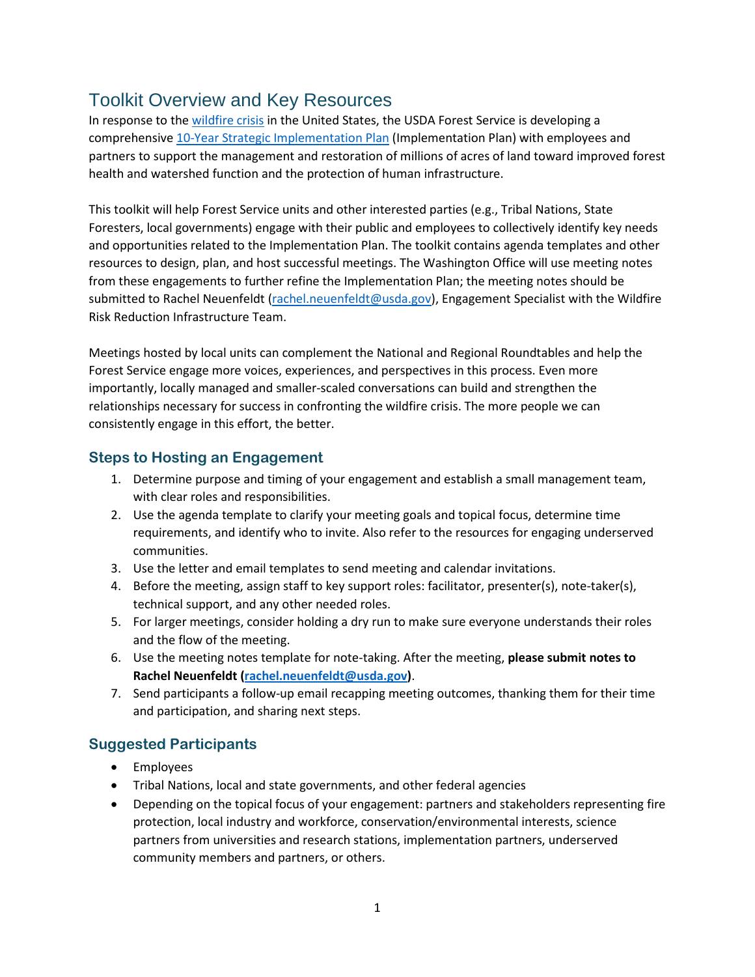## Toolkit Overview and Key Resources

In response to th[e wildfire crisis](https://www.fs.usda.gov/managing-land/wildfire-crisis) in the United States, the USDA Forest Service is developing a comprehensive [10-Year Strategic Implementation Plan](https://www.fs.usda.gov/sites/default/files/Wildfire-Crisis-Implementation-Plan.pdf) (Implementation Plan) with employees and partners to support the management and restoration of millions of acres of land toward improved forest health and watershed function and the protection of human infrastructure.

This toolkit will help Forest Service units and other interested parties (e.g., Tribal Nations, State Foresters, local governments) engage with their public and employees to collectively identify key needs and opportunities related to the Implementation Plan. The toolkit contains agenda templates and other resources to design, plan, and host successful meetings. The Washington Office will use meeting notes from these engagements to further refine the Implementation Plan; the meeting notes should be submitted to Rachel Neuenfeldt [\(rachel.neuenfeldt@usda.gov\)](mailto:rachel.neuenfeldt@usda.gov), Engagement Specialist with the Wildfire Risk Reduction Infrastructure Team.

Meetings hosted by local units can complement the National and Regional Roundtables and help the Forest Service engage more voices, experiences, and perspectives in this process. Even more importantly, locally managed and smaller-scaled conversations can build and strengthen the relationships necessary for success in confronting the wildfire crisis. The more people we can consistently engage in this effort, the better.

### **Steps to Hosting an Engagement**

- 1. Determine purpose and timing of your engagement and establish a small management team, with clear roles and responsibilities.
- 2. Use the agenda template to clarify your meeting goals and topical focus, determine time requirements, and identify who to invite. Also refer to the resources for engaging underserved communities.
- 3. Use the letter and email templates to send meeting and calendar invitations.
- 4. Before the meeting, assign staff to key support roles: facilitator, presenter(s), note-taker(s), technical support, and any other needed roles.
- 5. For larger meetings, consider holding a dry run to make sure everyone understands their roles and the flow of the meeting.
- 6. Use the meeting notes template for note-taking. After the meeting, **please submit notes to Rachel Neuenfeldt [\(rachel.neuenfeldt@usda.gov\)](mailto:rachel.neuenfeldt@usda.gov)**.
- 7. Send participants a follow-up email recapping meeting outcomes, thanking them for their time and participation, and sharing next steps.

### **Suggested Participants**

- Employees
- Tribal Nations, local and state governments, and other federal agencies
- Depending on the topical focus of your engagement: partners and stakeholders representing fire protection, local industry and workforce, conservation/environmental interests, science partners from universities and research stations, implementation partners, underserved community members and partners, or others.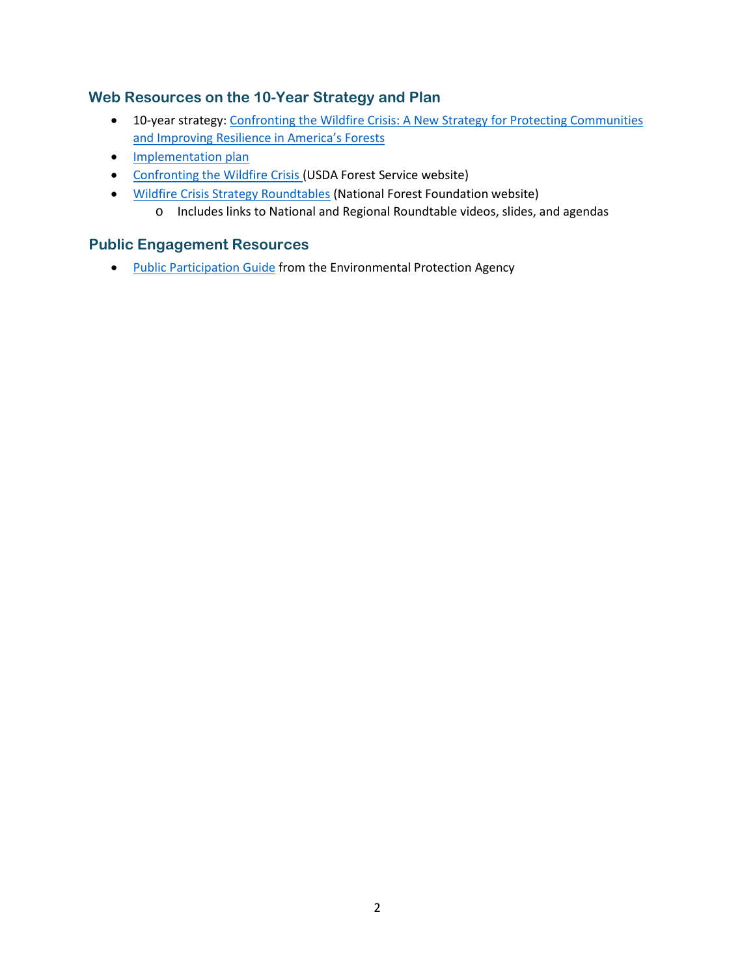### **Web Resources on the 10-Year Strategy and Plan**

- 10-year strategy: Confronting the Wildfire Crisis: A New Strategy for Protecting Communities [and Improving Resilience in America's Forests](https://www.fs.usda.gov/sites/default/files/Confronting-Wildfire-Crisis.pdf)
- [Implementation plan](https://www.fs.usda.gov/sites/default/files/Wildfire-Crisis-Implementation-Plan.pdf)
- [Confronting the Wildfire Crisis \(](https://www.fs.usda.gov/managing-land/wildfire-crisis)USDA Forest Service website)
- [Wildfire Crisis Strategy Roundtables](https://www.nationalforests.org/collaboration-resources/wildfire-crisis-strategy-roundtables) (National Forest Foundation website)
	- o Includes links to National and Regional Roundtable videos, slides, and agendas

#### **Public Engagement Resources**

• [Public Participation Guide](https://www.epa.gov/international-cooperation/public-participation-guide) from the Environmental Protection Agency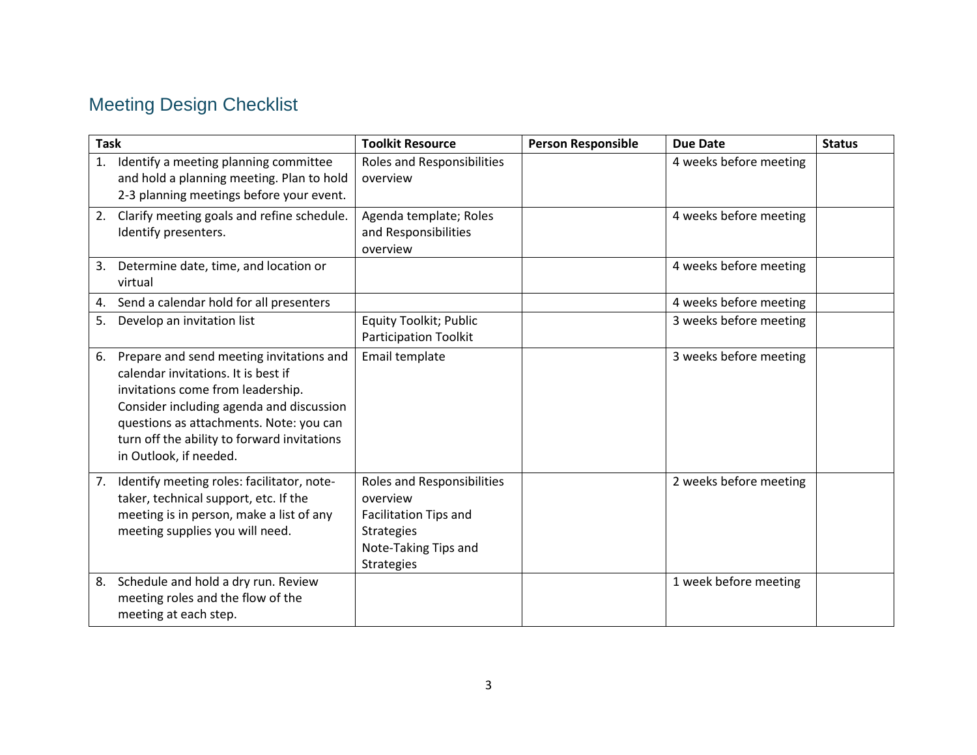# Meeting Design Checklist

| <b>Task</b> |                                                                                                                                                                                                                                                                                      | <b>Toolkit Resource</b>                                                                                                                  | <b>Person Responsible</b> | <b>Due Date</b>        | <b>Status</b> |
|-------------|--------------------------------------------------------------------------------------------------------------------------------------------------------------------------------------------------------------------------------------------------------------------------------------|------------------------------------------------------------------------------------------------------------------------------------------|---------------------------|------------------------|---------------|
| 1.          | Identify a meeting planning committee<br>and hold a planning meeting. Plan to hold<br>2-3 planning meetings before your event.                                                                                                                                                       | Roles and Responsibilities<br>overview                                                                                                   |                           | 4 weeks before meeting |               |
| 2.          | Clarify meeting goals and refine schedule.<br>Identify presenters.                                                                                                                                                                                                                   | Agenda template; Roles<br>and Responsibilities<br>overview                                                                               |                           | 4 weeks before meeting |               |
|             | 3. Determine date, time, and location or<br>virtual                                                                                                                                                                                                                                  |                                                                                                                                          |                           | 4 weeks before meeting |               |
| 4.          | Send a calendar hold for all presenters                                                                                                                                                                                                                                              |                                                                                                                                          |                           | 4 weeks before meeting |               |
| 5.          | Develop an invitation list                                                                                                                                                                                                                                                           | <b>Equity Toolkit; Public</b><br><b>Participation Toolkit</b>                                                                            |                           | 3 weeks before meeting |               |
| 6.          | Prepare and send meeting invitations and<br>calendar invitations. It is best if<br>invitations come from leadership.<br>Consider including agenda and discussion<br>questions as attachments. Note: you can<br>turn off the ability to forward invitations<br>in Outlook, if needed. | Email template                                                                                                                           |                           | 3 weeks before meeting |               |
| 7.          | Identify meeting roles: facilitator, note-<br>taker, technical support, etc. If the<br>meeting is in person, make a list of any<br>meeting supplies you will need.                                                                                                                   | <b>Roles and Responsibilities</b><br>overview<br>Facilitation Tips and<br><b>Strategies</b><br>Note-Taking Tips and<br><b>Strategies</b> |                           | 2 weeks before meeting |               |
| 8.          | Schedule and hold a dry run. Review<br>meeting roles and the flow of the<br>meeting at each step.                                                                                                                                                                                    |                                                                                                                                          |                           | 1 week before meeting  |               |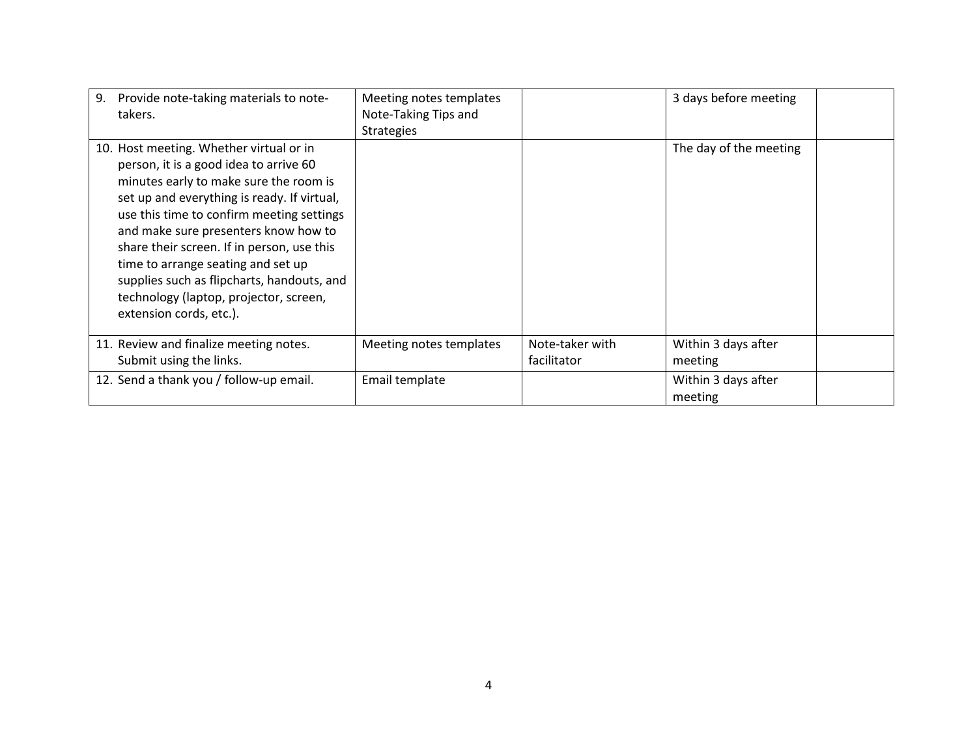| Provide note-taking materials to note-<br>9.<br>takers.                                                                                                                                                                                                                                                                                                                                                                                                                | Meeting notes templates<br>Note-Taking Tips and<br><b>Strategies</b> |                                | 3 days before meeting          |
|------------------------------------------------------------------------------------------------------------------------------------------------------------------------------------------------------------------------------------------------------------------------------------------------------------------------------------------------------------------------------------------------------------------------------------------------------------------------|----------------------------------------------------------------------|--------------------------------|--------------------------------|
| 10. Host meeting. Whether virtual or in<br>person, it is a good idea to arrive 60<br>minutes early to make sure the room is<br>set up and everything is ready. If virtual,<br>use this time to confirm meeting settings<br>and make sure presenters know how to<br>share their screen. If in person, use this<br>time to arrange seating and set up<br>supplies such as flipcharts, handouts, and<br>technology (laptop, projector, screen,<br>extension cords, etc.). |                                                                      |                                | The day of the meeting         |
| 11. Review and finalize meeting notes.<br>Submit using the links.                                                                                                                                                                                                                                                                                                                                                                                                      | Meeting notes templates                                              | Note-taker with<br>facilitator | Within 3 days after<br>meeting |
| 12. Send a thank you / follow-up email.                                                                                                                                                                                                                                                                                                                                                                                                                                | Email template                                                       |                                | Within 3 days after<br>meeting |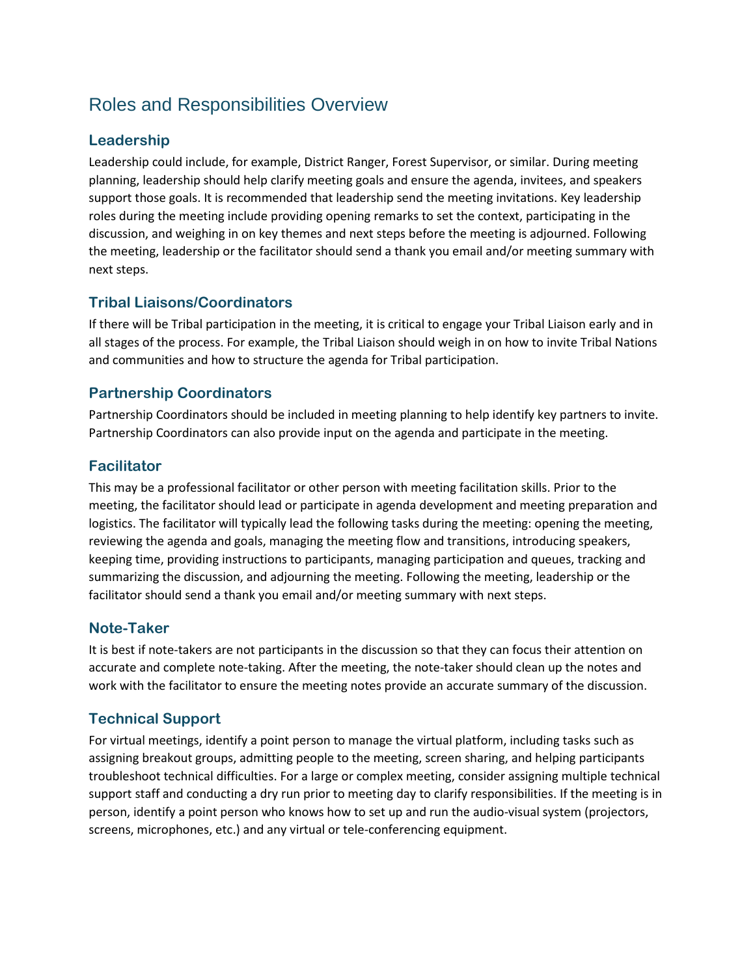## Roles and Responsibilities Overview

### **Leadership**

Leadership could include, for example, District Ranger, Forest Supervisor, or similar. During meeting planning, leadership should help clarify meeting goals and ensure the agenda, invitees, and speakers support those goals. It is recommended that leadership send the meeting invitations. Key leadership roles during the meeting include providing opening remarks to set the context, participating in the discussion, and weighing in on key themes and next steps before the meeting is adjourned. Following the meeting, leadership or the facilitator should send a thank you email and/or meeting summary with next steps.

### **Tribal Liaisons/Coordinators**

If there will be Tribal participation in the meeting, it is critical to engage your Tribal Liaison early and in all stages of the process. For example, the Tribal Liaison should weigh in on how to invite Tribal Nations and communities and how to structure the agenda for Tribal participation.

### **Partnership Coordinators**

Partnership Coordinators should be included in meeting planning to help identify key partners to invite. Partnership Coordinators can also provide input on the agenda and participate in the meeting.

### **Facilitator**

This may be a professional facilitator or other person with meeting facilitation skills. Prior to the meeting, the facilitator should lead or participate in agenda development and meeting preparation and logistics. The facilitator will typically lead the following tasks during the meeting: opening the meeting, reviewing the agenda and goals, managing the meeting flow and transitions, introducing speakers, keeping time, providing instructions to participants, managing participation and queues, tracking and summarizing the discussion, and adjourning the meeting. Following the meeting, leadership or the facilitator should send a thank you email and/or meeting summary with next steps.

### **Note-Taker**

It is best if note-takers are not participants in the discussion so that they can focus their attention on accurate and complete note-taking. After the meeting, the note-taker should clean up the notes and work with the facilitator to ensure the meeting notes provide an accurate summary of the discussion.

### **Technical Support**

For virtual meetings, identify a point person to manage the virtual platform, including tasks such as assigning breakout groups, admitting people to the meeting, screen sharing, and helping participants troubleshoot technical difficulties. For a large or complex meeting, consider assigning multiple technical support staff and conducting a dry run prior to meeting day to clarify responsibilities. If the meeting is in person, identify a point person who knows how to set up and run the audio-visual system (projectors, screens, microphones, etc.) and any virtual or tele-conferencing equipment.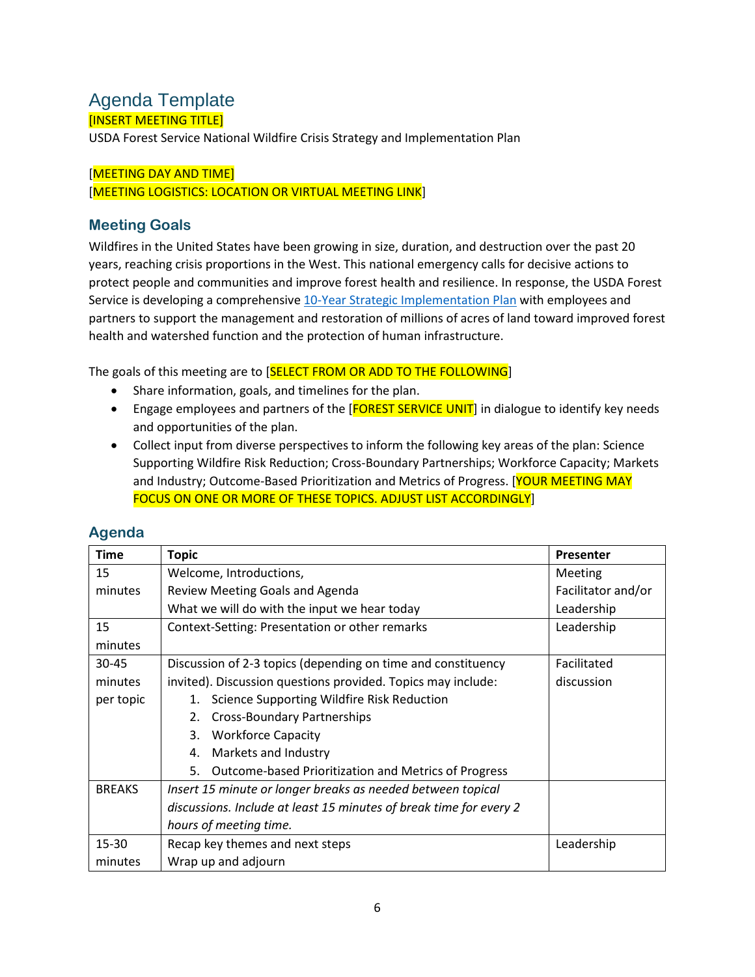## Agenda Template [INSERT MEETING TITLE]

USDA Forest Service National Wildfire Crisis Strategy and Implementation Plan

#### [MEETING DAY AND TIME]

[MEETING LOGISTICS: LOCATION OR VIRTUAL MEETING LINK]

### **Meeting Goals**

Wildfires in the United States have been growing in size, duration, and destruction over the past 20 years, reaching crisis proportions in the West. This national emergency calls for decisive actions to protect people and communities and improve forest health and resilience. In response, the USDA Forest Service is developing a comprehensiv[e 10-Year Strategic Implementation Plan](https://www.fs.usda.gov/sites/default/files/Wildfire-Crisis-Implementation-Plan.pdf) with employees and partners to support the management and restoration of millions of acres of land toward improved forest health and watershed function and the protection of human infrastructure.

The goals of this meeting are to [SELECT FROM OR ADD TO THE FOLLOWING]

- Share information, goals, and timelines for the plan.
- Engage employees and partners of the [FOREST SERVICE UNIT] in dialogue to identify key needs and opportunities of the plan.
- Collect input from diverse perspectives to inform the following key areas of the plan: Science Supporting Wildfire Risk Reduction; Cross-Boundary Partnerships; Workforce Capacity; Markets and Industry; Outcome-Based Prioritization and Metrics of Progress. [YOUR MEETING MAY FOCUS ON ONE OR MORE OF THESE TOPICS. ADJUST LIST ACCORDINGLY]

| <b>Time</b>   | <b>Topic</b>                                                       | <b>Presenter</b>   |
|---------------|--------------------------------------------------------------------|--------------------|
| 15            | Welcome, Introductions,                                            | Meeting            |
| minutes       | Review Meeting Goals and Agenda                                    | Facilitator and/or |
|               | What we will do with the input we hear today                       | Leadership         |
| 15            | Context-Setting: Presentation or other remarks                     | Leadership         |
| minutes       |                                                                    |                    |
| 30-45         | Discussion of 2-3 topics (depending on time and constituency       | Facilitated        |
| minutes       | invited). Discussion questions provided. Topics may include:       | discussion         |
| per topic     | 1. Science Supporting Wildfire Risk Reduction                      |                    |
|               | 2. Cross-Boundary Partnerships                                     |                    |
|               | <b>Workforce Capacity</b><br>3.                                    |                    |
|               | 4. Markets and Industry                                            |                    |
|               | 5. Outcome-based Prioritization and Metrics of Progress            |                    |
| <b>BREAKS</b> | Insert 15 minute or longer breaks as needed between topical        |                    |
|               | discussions. Include at least 15 minutes of break time for every 2 |                    |
|               | hours of meeting time.                                             |                    |
| 15-30         | Recap key themes and next steps                                    | Leadership         |
| minutes       | Wrap up and adjourn                                                |                    |

### **Agenda**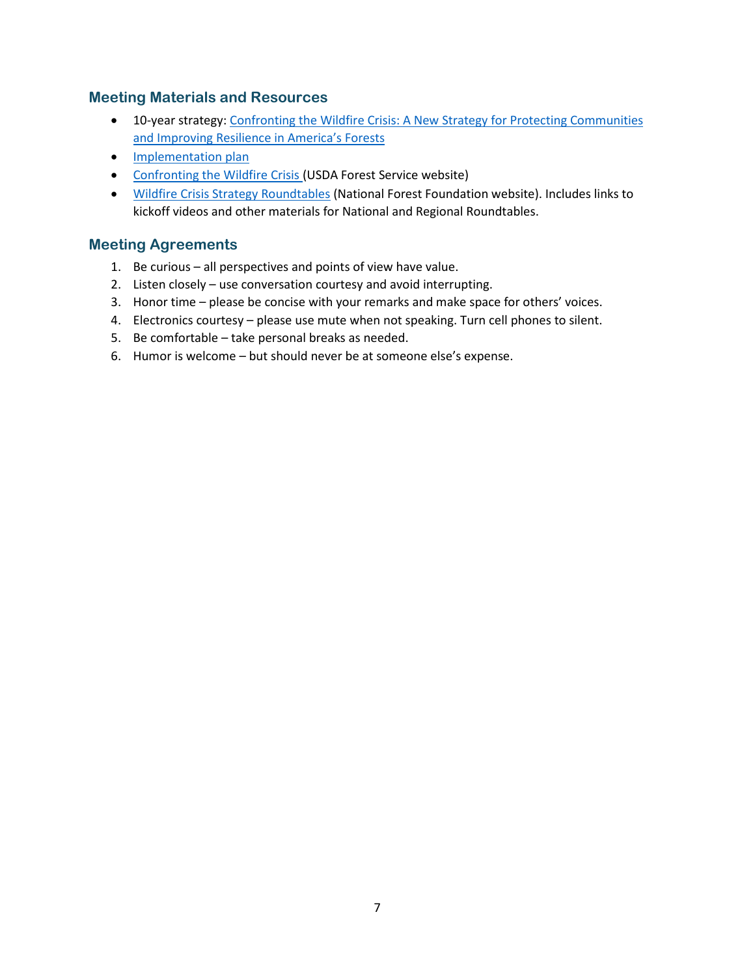### **Meeting Materials and Resources**

- 10-year strategy[: Confronting the Wildfire Crisis: A New Strategy for Protecting Communities](https://www.fs.usda.gov/sites/default/files/Confronting-Wildfire-Crisis.pdf)  [and Improving Resilience in America's Forests](https://www.fs.usda.gov/sites/default/files/Confronting-Wildfire-Crisis.pdf)
- [Implementation plan](https://www.fs.usda.gov/sites/default/files/Wildfire-Crisis-Implementation-Plan.pdf)
- [Confronting the Wildfire Crisis \(](https://www.fs.usda.gov/managing-land/wildfire-crisis)USDA Forest Service website)
- [Wildfire Crisis Strategy Roundtables](https://www.nationalforests.org/collaboration-resources/wildfire-crisis-strategy-roundtables) (National Forest Foundation website). Includes links to kickoff videos and other materials for National and Regional Roundtables.

### **Meeting Agreements**

- 1. Be curious all perspectives and points of view have value.
- 2. Listen closely use conversation courtesy and avoid interrupting.
- 3. Honor time please be concise with your remarks and make space for others' voices.
- 4. Electronics courtesy please use mute when not speaking. Turn cell phones to silent.
- 5. Be comfortable take personal breaks as needed.
- 6. Humor is welcome but should never be at someone else's expense.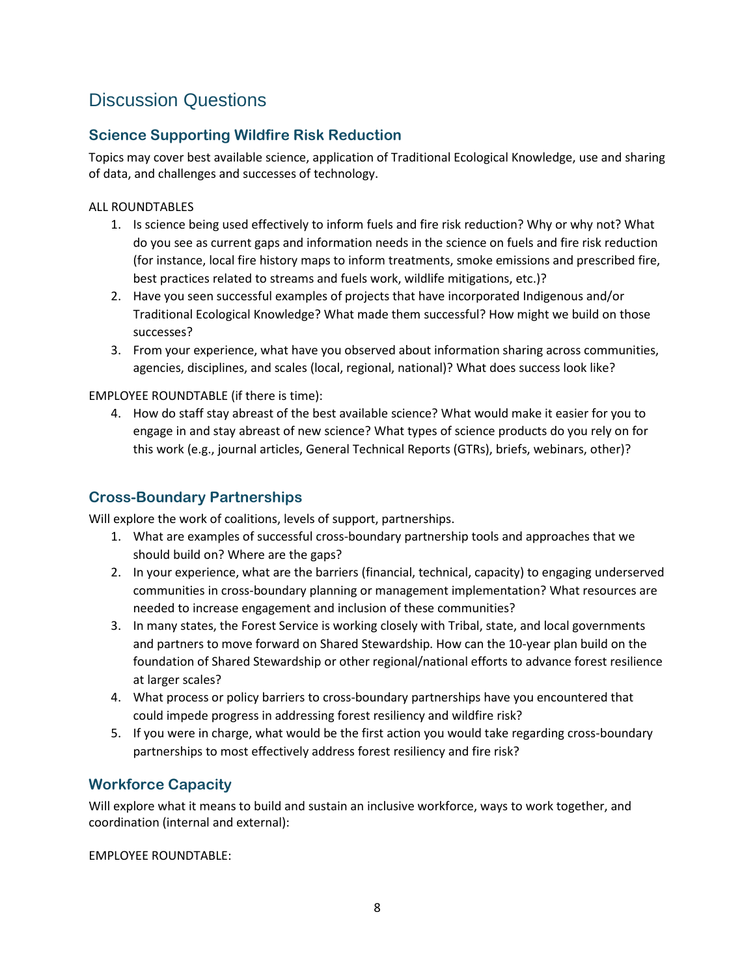## Discussion Questions

## **Science Supporting Wildfire Risk Reduction**

Topics may cover best available science, application of Traditional Ecological Knowledge, use and sharing of data, and challenges and successes of technology.

### ALL ROUNDTABLES

- 1. Is science being used effectively to inform fuels and fire risk reduction? Why or why not? What do you see as current gaps and information needs in the science on fuels and fire risk reduction (for instance, local fire history maps to inform treatments, smoke emissions and prescribed fire, best practices related to streams and fuels work, wildlife mitigations, etc.)?
- 2. Have you seen successful examples of projects that have incorporated Indigenous and/or Traditional Ecological Knowledge? What made them successful? How might we build on those successes?
- 3. From your experience, what have you observed about information sharing across communities, agencies, disciplines, and scales (local, regional, national)? What does success look like?

### EMPLOYEE ROUNDTABLE (if there is time):

4. How do staff stay abreast of the best available science? What would make it easier for you to engage in and stay abreast of new science? What types of science products do you rely on for this work (e.g., journal articles, General Technical Reports (GTRs), briefs, webinars, other)?

### **Cross-Boundary Partnerships**

Will explore the work of coalitions, levels of support, partnerships.

- 1. What are examples of successful cross-boundary partnership tools and approaches that we should build on? Where are the gaps?
- 2. In your experience, what are the barriers (financial, technical, capacity) to engaging underserved communities in cross-boundary planning or management implementation? What resources are needed to increase engagement and inclusion of these communities?
- 3. In many states, the Forest Service is working closely with Tribal, state, and local governments and partners to move forward on Shared Stewardship. How can the 10-year plan build on the foundation of Shared Stewardship or other regional/national efforts to advance forest resilience at larger scales?
- 4. What process or policy barriers to cross-boundary partnerships have you encountered that could impede progress in addressing forest resiliency and wildfire risk?
- 5. If you were in charge, what would be the first action you would take regarding cross-boundary partnerships to most effectively address forest resiliency and fire risk?

## **Workforce Capacity**

Will explore what it means to build and sustain an inclusive workforce, ways to work together, and coordination (internal and external):

EMPLOYEE ROUNDTABLE: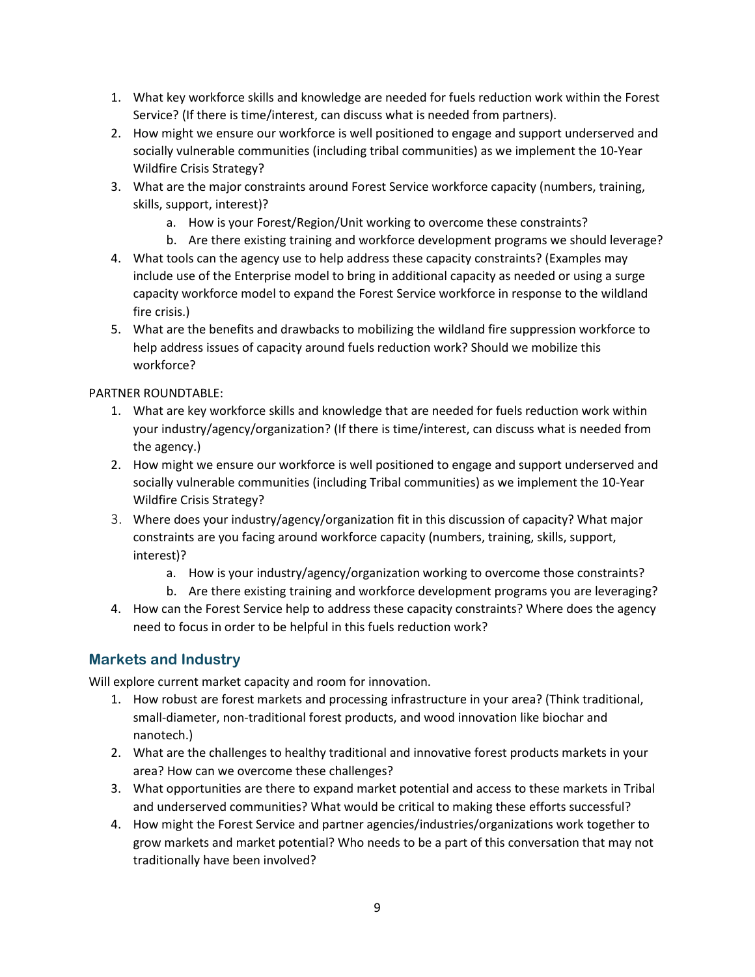- 1. What key workforce skills and knowledge are needed for fuels reduction work within the Forest Service? (If there is time/interest, can discuss what is needed from partners).
- 2. How might we ensure our workforce is well positioned to engage and support underserved and socially vulnerable communities (including tribal communities) as we implement the 10-Year Wildfire Crisis Strategy?
- 3. What are the major constraints around Forest Service workforce capacity (numbers, training, skills, support, interest)?
	- a. How is your Forest/Region/Unit working to overcome these constraints?
	- b. Are there existing training and workforce development programs we should leverage?
- 4. What tools can the agency use to help address these capacity constraints? (Examples may include use of the Enterprise model to bring in additional capacity as needed or using a surge capacity workforce model to expand the Forest Service workforce in response to the wildland fire crisis.)
- 5. What are the benefits and drawbacks to mobilizing the wildland fire suppression workforce to help address issues of capacity around fuels reduction work? Should we mobilize this workforce?

#### PARTNER ROUNDTABLE:

- 1. What are key workforce skills and knowledge that are needed for fuels reduction work within your industry/agency/organization? (If there is time/interest, can discuss what is needed from the agency.)
- 2. How might we ensure our workforce is well positioned to engage and support underserved and socially vulnerable communities (including Tribal communities) as we implement the 10-Year Wildfire Crisis Strategy?
- 3. Where does your industry/agency/organization fit in this discussion of capacity? What major constraints are you facing around workforce capacity (numbers, training, skills, support, interest)?
	- a. How is your industry/agency/organization working to overcome those constraints?
	- b. Are there existing training and workforce development programs you are leveraging?
- 4. How can the Forest Service help to address these capacity constraints? Where does the agency need to focus in order to be helpful in this fuels reduction work?

### **Markets and Industry**

Will explore current market capacity and room for innovation.

- 1. How robust are forest markets and processing infrastructure in your area? (Think traditional, small-diameter, non-traditional forest products, and wood innovation like biochar and nanotech.)
- 2. What are the challenges to healthy traditional and innovative forest products markets in your area? How can we overcome these challenges?
- 3. What opportunities are there to expand market potential and access to these markets in Tribal and underserved communities? What would be critical to making these efforts successful?
- 4. How might the Forest Service and partner agencies/industries/organizations work together to grow markets and market potential? Who needs to be a part of this conversation that may not traditionally have been involved?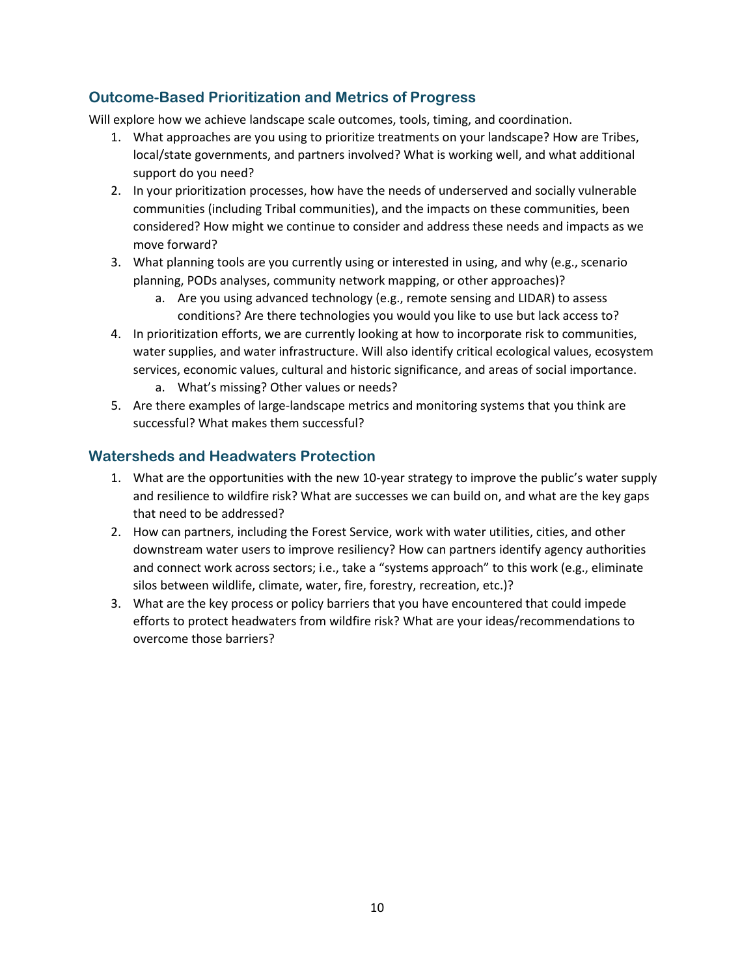### **Outcome-Based Prioritization and Metrics of Progress**

Will explore how we achieve landscape scale outcomes, tools, timing, and coordination.

- 1. What approaches are you using to prioritize treatments on your landscape? How are Tribes, local/state governments, and partners involved? What is working well, and what additional support do you need?
- 2. In your prioritization processes, how have the needs of underserved and socially vulnerable communities (including Tribal communities), and the impacts on these communities, been considered? How might we continue to consider and address these needs and impacts as we move forward?
- 3. What planning tools are you currently using or interested in using, and why (e.g., scenario planning, PODs analyses, community network mapping, or other approaches)?
	- a. Are you using advanced technology (e.g., remote sensing and LIDAR) to assess conditions? Are there technologies you would you like to use but lack access to?
- 4. In prioritization efforts, we are currently looking at how to incorporate risk to communities, water supplies, and water infrastructure. Will also identify critical ecological values, ecosystem services, economic values, cultural and historic significance, and areas of social importance.
	- a. What's missing? Other values or needs?
- 5. Are there examples of large-landscape metrics and monitoring systems that you think are successful? What makes them successful?

### **Watersheds and Headwaters Protection**

- 1. What are the opportunities with the new 10-year strategy to improve the public's water supply and resilience to wildfire risk? What are successes we can build on, and what are the key gaps that need to be addressed?
- 2. How can partners, including the Forest Service, work with water utilities, cities, and other downstream water users to improve resiliency? How can partners identify agency authorities and connect work across sectors; i.e., take a "systems approach" to this work (e.g., eliminate silos between wildlife, climate, water, fire, forestry, recreation, etc.)?
- 3. What are the key process or policy barriers that you have encountered that could impede efforts to protect headwaters from wildfire risk? What are your ideas/recommendations to overcome those barriers?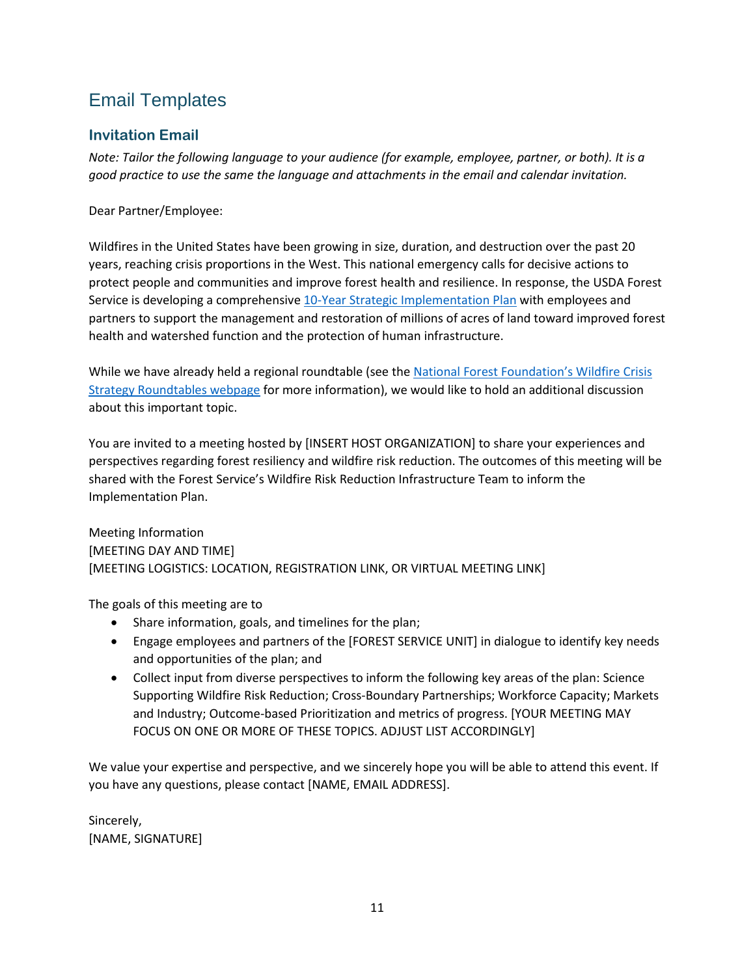# Email Templates

## **Invitation Email**

*Note: Tailor the following language to your audience (for example, employee, partner, or both). It is a good practice to use the same the language and attachments in the email and calendar invitation.* 

Dear Partner/Employee:

Wildfires in the United States have been growing in size, duration, and destruction over the past 20 years, reaching crisis proportions in the West. This national emergency calls for decisive actions to protect people and communities and improve forest health and resilience. In response, the USDA Forest Service is developing a comprehensiv[e 10-Year Strategic Implementation Plan](https://www.fs.usda.gov/sites/default/files/Wildfire-Crisis-Implementation-Plan.pdf) with employees and partners to support the management and restoration of millions of acres of land toward improved forest health and watershed function and the protection of human infrastructure.

While we have already held a regional roundtable (see the National Forest Foundation's Wildfire Crisis [Strategy Roundtables webpage](https://www.nationalforests.org/collaboration-resources/wildfire-crisis-strategy-roundtables) for more information), we would like to hold an additional discussion about this important topic.

You are invited to a meeting hosted by [INSERT HOST ORGANIZATION] to share your experiences and perspectives regarding forest resiliency and wildfire risk reduction. The outcomes of this meeting will be shared with the Forest Service's Wildfire Risk Reduction Infrastructure Team to inform the Implementation Plan.

Meeting Information [MEETING DAY AND TIME] [MEETING LOGISTICS: LOCATION, REGISTRATION LINK, OR VIRTUAL MEETING LINK]

The goals of this meeting are to

- Share information, goals, and timelines for the plan;
- Engage employees and partners of the [FOREST SERVICE UNIT] in dialogue to identify key needs and opportunities of the plan; and
- Collect input from diverse perspectives to inform the following key areas of the plan: Science Supporting Wildfire Risk Reduction; Cross-Boundary Partnerships; Workforce Capacity; Markets and Industry; Outcome-based Prioritization and metrics of progress. [YOUR MEETING MAY FOCUS ON ONE OR MORE OF THESE TOPICS. ADJUST LIST ACCORDINGLY]

We value your expertise and perspective, and we sincerely hope you will be able to attend this event. If you have any questions, please contact [NAME, EMAIL ADDRESS].

Sincerely, [NAME, SIGNATURE]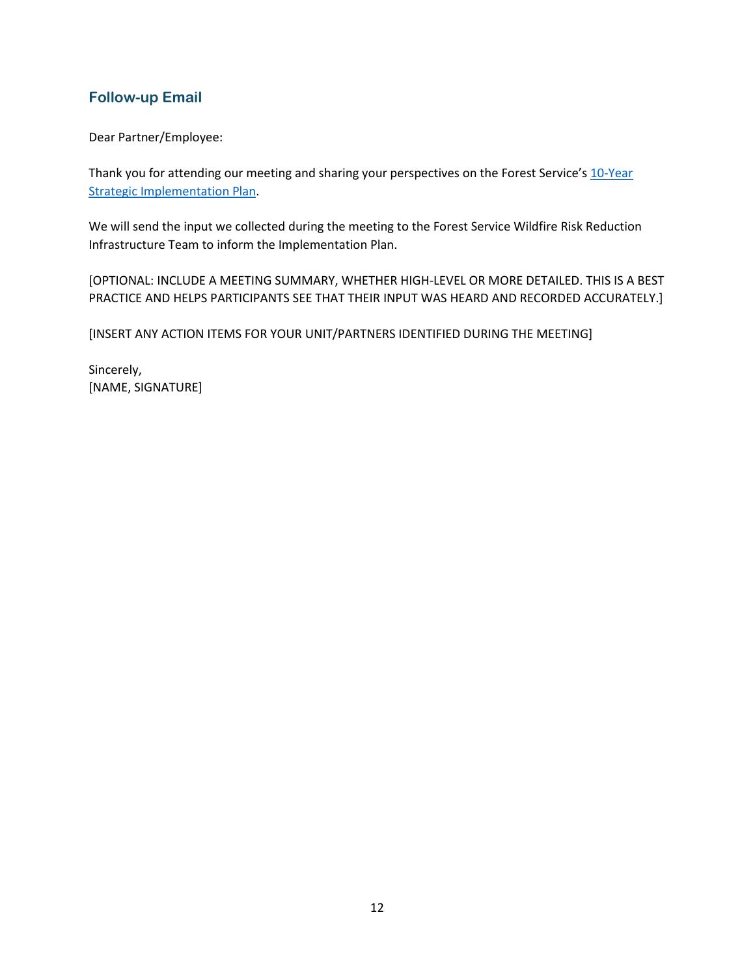### **Follow-up Email**

Dear Partner/Employee:

Thank you for attending our meeting and sharing your perspectives on the Forest Service's 10-Year [Strategic Implementation Plan.](https://www.fs.usda.gov/sites/default/files/Wildfire-Crisis-Implementation-Plan.pdf)

We will send the input we collected during the meeting to the Forest Service Wildfire Risk Reduction Infrastructure Team to inform the Implementation Plan.

[OPTIONAL: INCLUDE A MEETING SUMMARY, WHETHER HIGH-LEVEL OR MORE DETAILED. THIS IS A BEST PRACTICE AND HELPS PARTICIPANTS SEE THAT THEIR INPUT WAS HEARD AND RECORDED ACCURATELY.]

[INSERT ANY ACTION ITEMS FOR YOUR UNIT/PARTNERS IDENTIFIED DURING THE MEETING]

Sincerely, [NAME, SIGNATURE]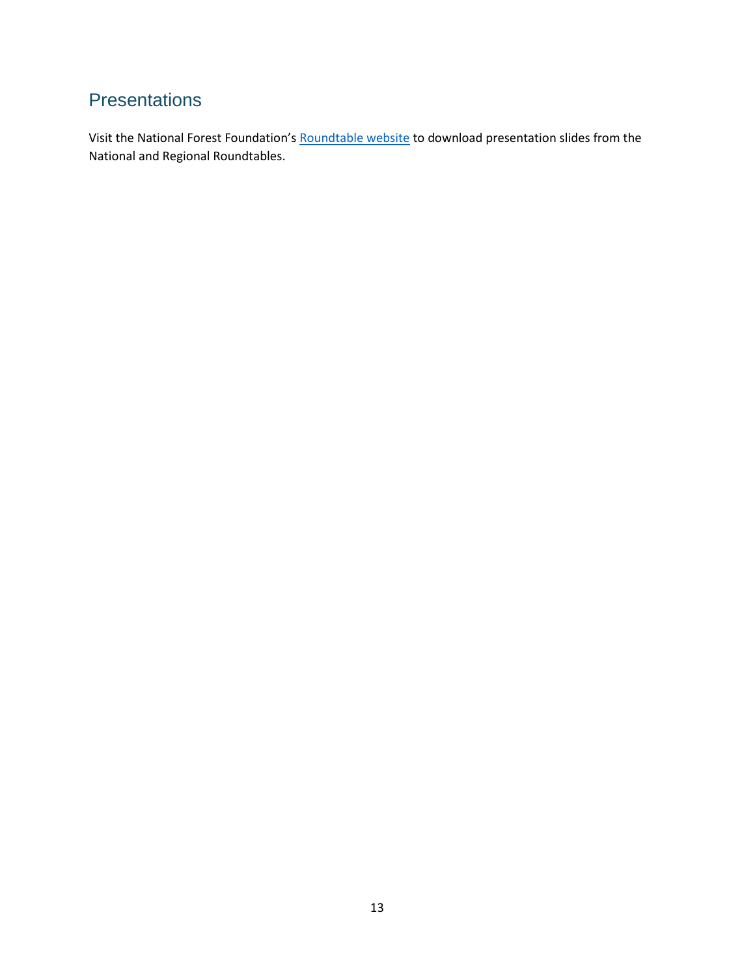# **Presentations**

Visit the National Forest Foundation's [Roundtable website](https://www.nationalforests.org/collaboration-resources/wildfire-crisis-strategy-roundtables) to download presentation slides from the National and Regional Roundtables.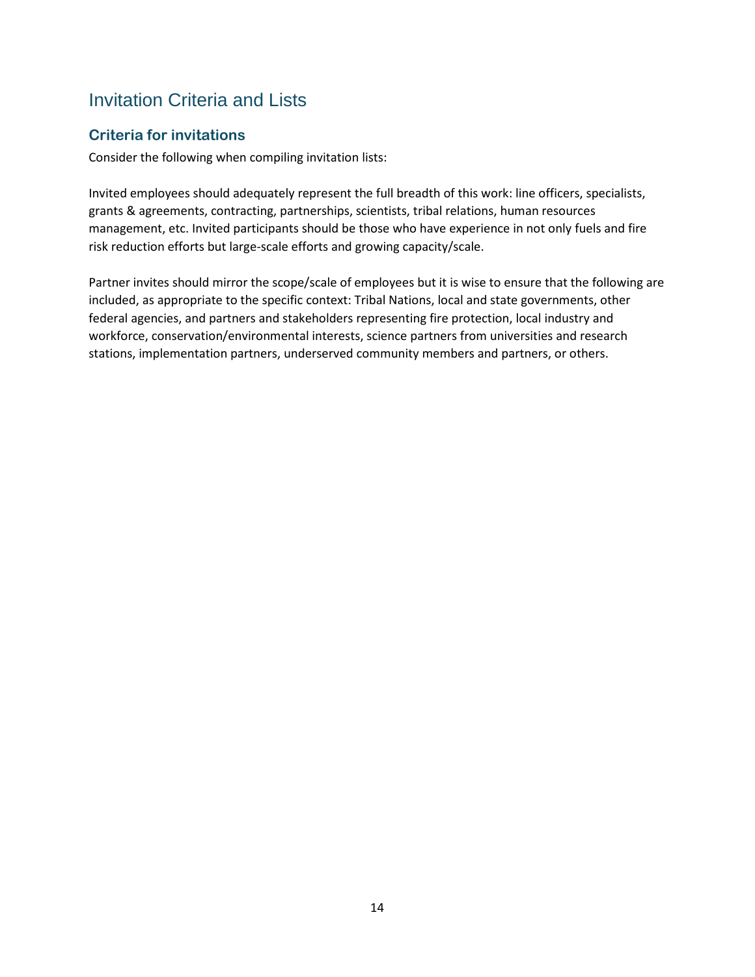## Invitation Criteria and Lists

### **Criteria for invitations**

Consider the following when compiling invitation lists:

Invited employees should adequately represent the full breadth of this work: line officers, specialists, grants & agreements, contracting, partnerships, scientists, tribal relations, human resources management, etc. Invited participants should be those who have experience in not only fuels and fire risk reduction efforts but large-scale efforts and growing capacity/scale.

Partner invites should mirror the scope/scale of employees but it is wise to ensure that the following are included, as appropriate to the specific context: Tribal Nations, local and state governments, other federal agencies, and partners and stakeholders representing fire protection, local industry and workforce, conservation/environmental interests, science partners from universities and research stations, implementation partners, underserved community members and partners, or others.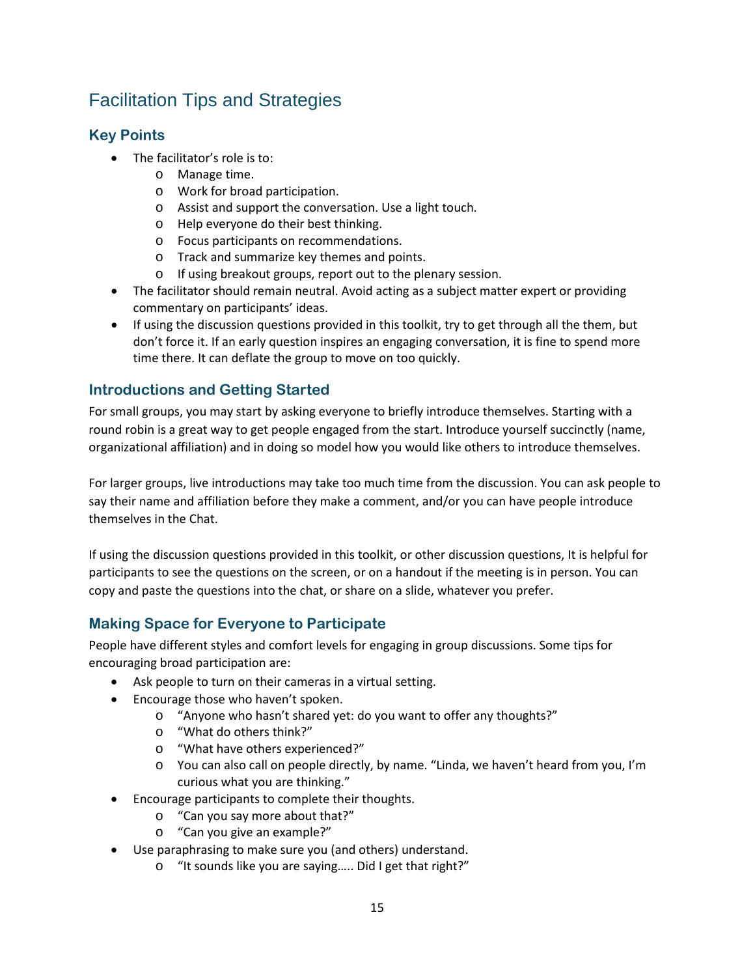# Facilitation Tips and Strategies

## **Key Points**

- The facilitator's role is to:
	- o Manage time.
	- o Work for broad participation.
	- o Assist and support the conversation. Use a light touch.
	- o Help everyone do their best thinking.
	- o Focus participants on recommendations.
	- o Track and summarize key themes and points.
	- o If using breakout groups, report out to the plenary session.
- The facilitator should remain neutral. Avoid acting as a subject matter expert or providing commentary on participants' ideas.
- If using the discussion questions provided in this toolkit, try to get through all the them, but don't force it. If an early question inspires an engaging conversation, it is fine to spend more time there. It can deflate the group to move on too quickly.

## **Introductions and Getting Started**

For small groups, you may start by asking everyone to briefly introduce themselves. Starting with a round robin is a great way to get people engaged from the start. Introduce yourself succinctly (name, organizational affiliation) and in doing so model how you would like others to introduce themselves.

For larger groups, live introductions may take too much time from the discussion. You can ask people to say their name and affiliation before they make a comment, and/or you can have people introduce themselves in the Chat.

If using the discussion questions provided in this toolkit, or other discussion questions, It is helpful for participants to see the questions on the screen, or on a handout if the meeting is in person. You can copy and paste the questions into the chat, or share on a slide, whatever you prefer.

## **Making Space for Everyone to Participate**

People have different styles and comfort levels for engaging in group discussions. Some tips for encouraging broad participation are:

- Ask people to turn on their cameras in a virtual setting.
- Encourage those who haven't spoken.
	- o "Anyone who hasn't shared yet: do you want to offer any thoughts?"
	- o "What do others think?"
	- o "What have others experienced?"
	- o You can also call on people directly, by name. "Linda, we haven't heard from you, I'm curious what you are thinking."
- Encourage participants to complete their thoughts.
	- o "Can you say more about that?"
	- o "Can you give an example?"
- Use paraphrasing to make sure you (and others) understand.
	- o "It sounds like you are saying….. Did I get that right?"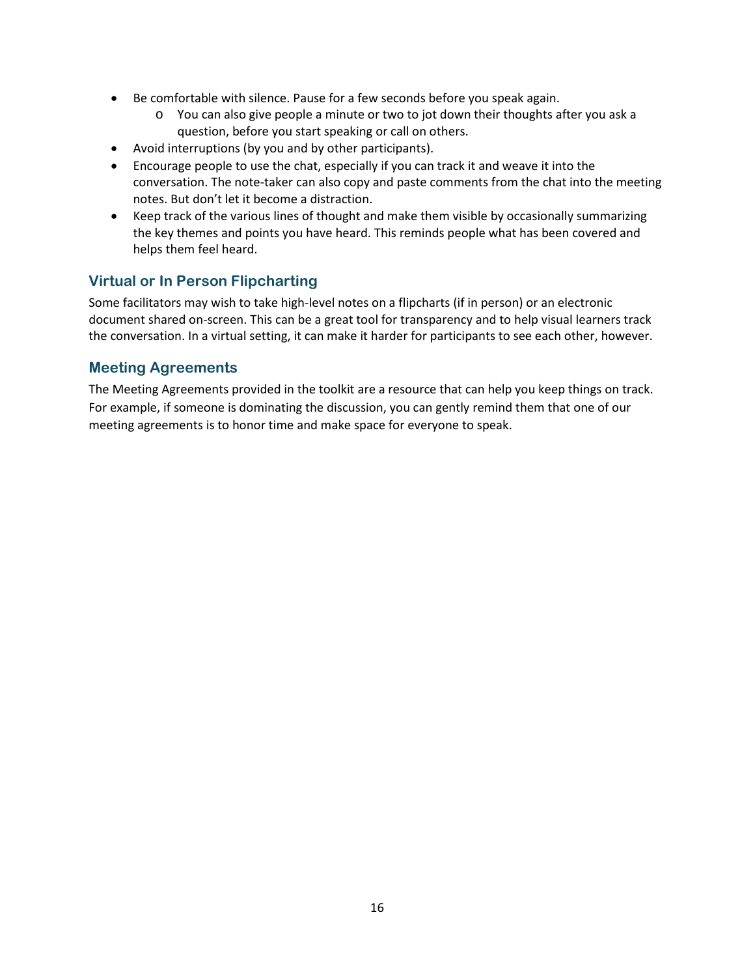- Be comfortable with silence. Pause for a few seconds before you speak again.
	- o You can also give people a minute or two to jot down their thoughts after you ask a question, before you start speaking or call on others.
- Avoid interruptions (by you and by other participants).
- Encourage people to use the chat, especially if you can track it and weave it into the conversation. The note-taker can also copy and paste comments from the chat into the meeting notes. But don't let it become a distraction.
- Keep track of the various lines of thought and make them visible by occasionally summarizing the key themes and points you have heard. This reminds people what has been covered and helps them feel heard.

### **Virtual or In Person Flipcharting**

Some facilitators may wish to take high-level notes on a flipcharts (if in person) or an electronic document shared on-screen. This can be a great tool for transparency and to help visual learners track the conversation. In a virtual setting, it can make it harder for participants to see each other, however.

### **Meeting Agreements**

The Meeting Agreements provided in the toolkit are a resource that can help you keep things on track. For example, if someone is dominating the discussion, you can gently remind them that one of our meeting agreements is to honor time and make space for everyone to speak.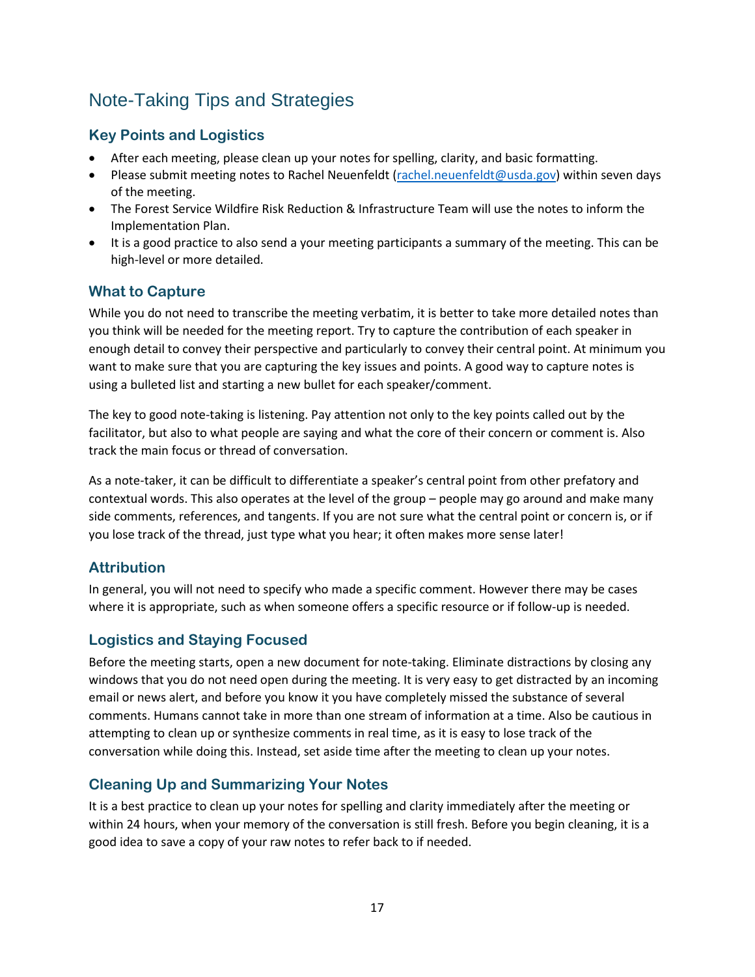## Note-Taking Tips and Strategies

## **Key Points and Logistics**

- After each meeting, please clean up your notes for spelling, clarity, and basic formatting.
- Please submit meeting notes to Rachel Neuenfeldt [\(rachel.neuenfeldt@usda.gov\)](mailto:rachel.neuenfeldt@usda.gov) within seven days of the meeting.
- The Forest Service Wildfire Risk Reduction & Infrastructure Team will use the notes to inform the Implementation Plan.
- It is a good practice to also send a your meeting participants a summary of the meeting. This can be high-level or more detailed.

### **What to Capture**

While you do not need to transcribe the meeting verbatim, it is better to take more detailed notes than you think will be needed for the meeting report. Try to capture the contribution of each speaker in enough detail to convey their perspective and particularly to convey their central point. At minimum you want to make sure that you are capturing the key issues and points. A good way to capture notes is using a bulleted list and starting a new bullet for each speaker/comment.

The key to good note-taking is listening. Pay attention not only to the key points called out by the facilitator, but also to what people are saying and what the core of their concern or comment is. Also track the main focus or thread of conversation.

As a note-taker, it can be difficult to differentiate a speaker's central point from other prefatory and contextual words. This also operates at the level of the group – people may go around and make many side comments, references, and tangents. If you are not sure what the central point or concern is, or if you lose track of the thread, just type what you hear; it often makes more sense later!

### **Attribution**

In general, you will not need to specify who made a specific comment. However there may be cases where it is appropriate, such as when someone offers a specific resource or if follow-up is needed.

### **Logistics and Staying Focused**

Before the meeting starts, open a new document for note-taking. Eliminate distractions by closing any windows that you do not need open during the meeting. It is very easy to get distracted by an incoming email or news alert, and before you know it you have completely missed the substance of several comments. Humans cannot take in more than one stream of information at a time. Also be cautious in attempting to clean up or synthesize comments in real time, as it is easy to lose track of the conversation while doing this. Instead, set aside time after the meeting to clean up your notes.

### **Cleaning Up and Summarizing Your Notes**

It is a best practice to clean up your notes for spelling and clarity immediately after the meeting or within 24 hours, when your memory of the conversation is still fresh. Before you begin cleaning, it is a good idea to save a copy of your raw notes to refer back to if needed.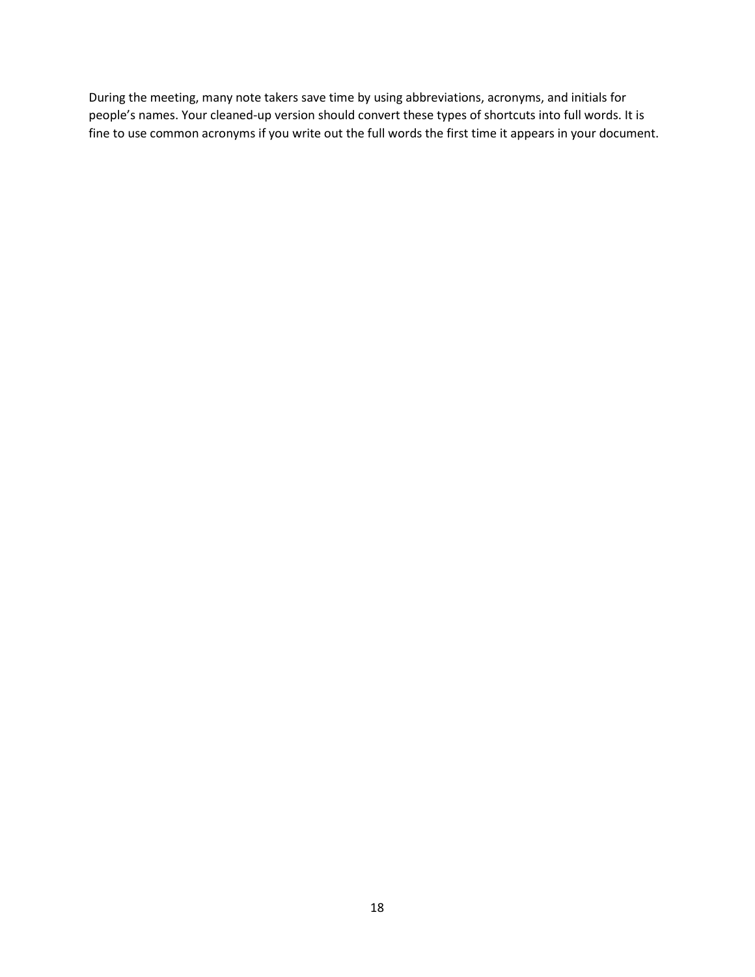During the meeting, many note takers save time by using abbreviations, acronyms, and initials for people's names. Your cleaned-up version should convert these types of shortcuts into full words. It is fine to use common acronyms if you write out the full words the first time it appears in your document.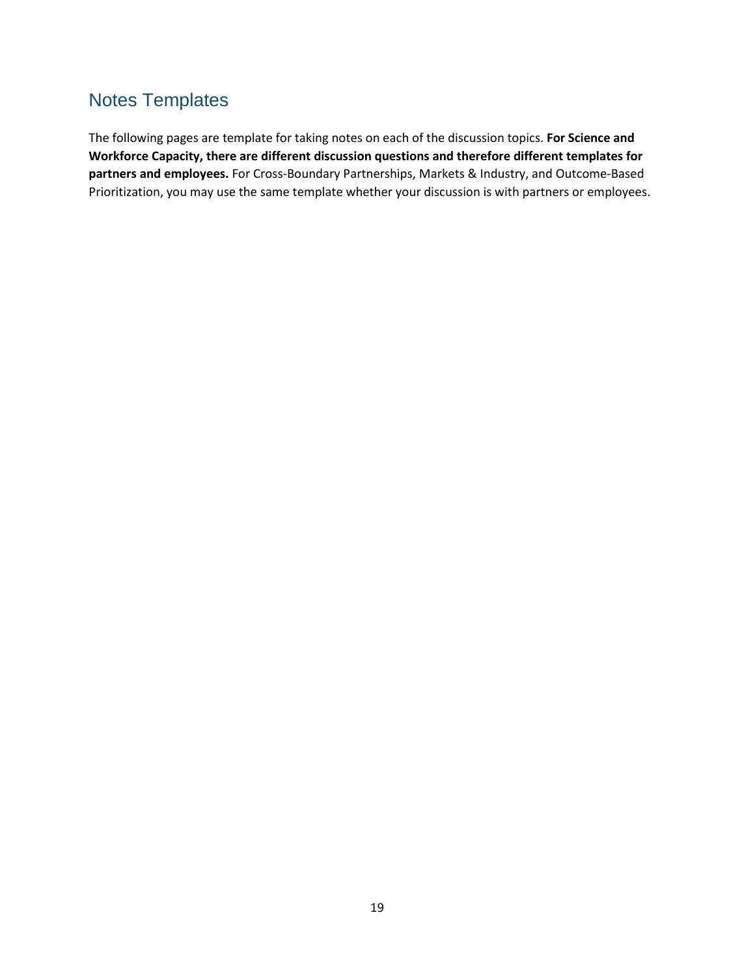## Notes Templates

The following pages are template for taking notes on each of the discussion topics. **For Science and Workforce Capacity, there are different discussion questions and therefore different templates for partners and employees.** For Cross-Boundary Partnerships, Markets & Industry, and Outcome-Based Prioritization, you may use the same template whether your discussion is with partners or employees.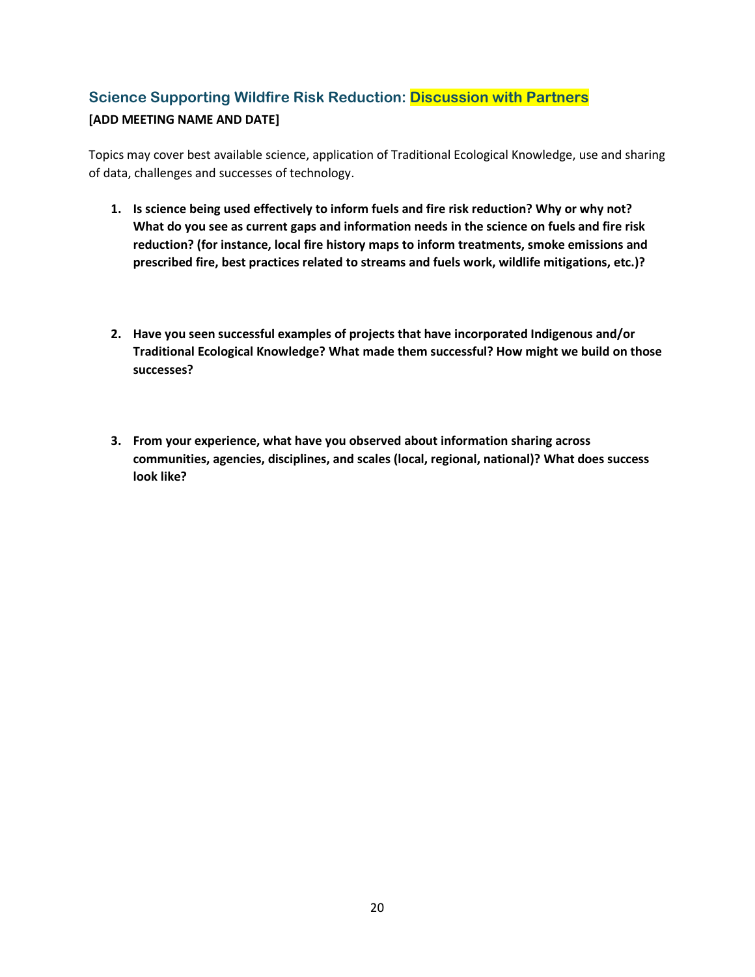## **Science Supporting Wildfire Risk Reduction: Discussion with Partners [ADD MEETING NAME AND DATE]**

Topics may cover best available science, application of Traditional Ecological Knowledge, use and sharing of data, challenges and successes of technology.

- **1. Is science being used effectively to inform fuels and fire risk reduction? Why or why not? What do you see as current gaps and information needs in the science on fuels and fire risk reduction? (for instance, local fire history maps to inform treatments, smoke emissions and prescribed fire, best practices related to streams and fuels work, wildlife mitigations, etc.)?**
- **2. Have you seen successful examples of projects that have incorporated Indigenous and/or Traditional Ecological Knowledge? What made them successful? How might we build on those successes?**
- **3. From your experience, what have you observed about information sharing across communities, agencies, disciplines, and scales (local, regional, national)? What does success look like?**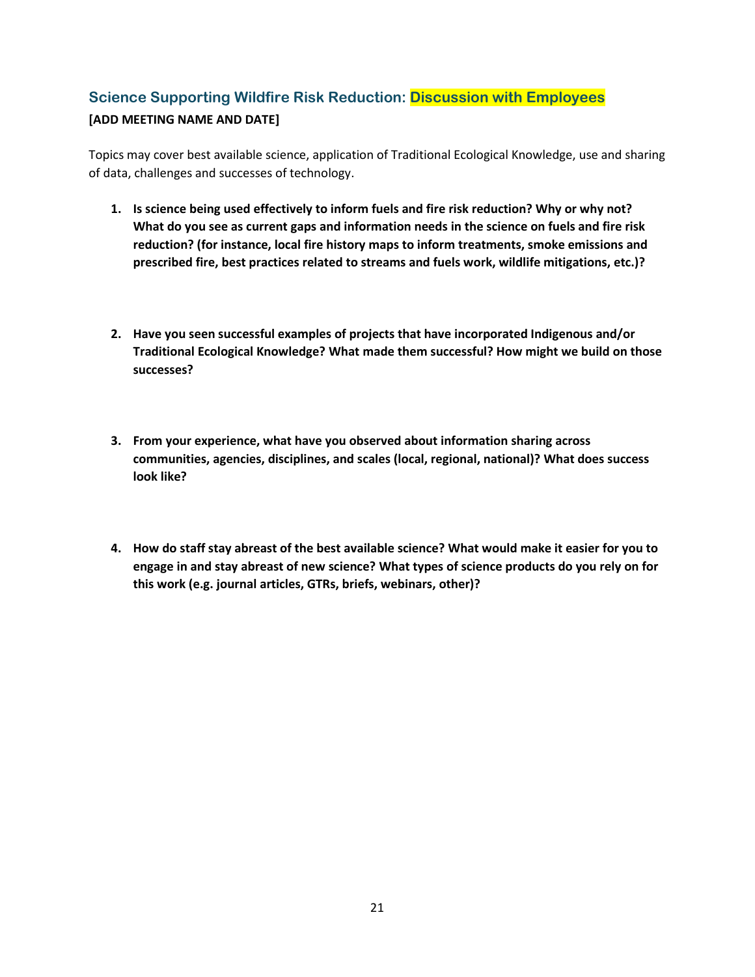## **Science Supporting Wildfire Risk Reduction: Discussion with Employees [ADD MEETING NAME AND DATE]**

Topics may cover best available science, application of Traditional Ecological Knowledge, use and sharing of data, challenges and successes of technology.

- **1. Is science being used effectively to inform fuels and fire risk reduction? Why or why not? What do you see as current gaps and information needs in the science on fuels and fire risk reduction? (for instance, local fire history maps to inform treatments, smoke emissions and prescribed fire, best practices related to streams and fuels work, wildlife mitigations, etc.)?**
- **2. Have you seen successful examples of projects that have incorporated Indigenous and/or Traditional Ecological Knowledge? What made them successful? How might we build on those successes?**
- **3. From your experience, what have you observed about information sharing across communities, agencies, disciplines, and scales (local, regional, national)? What does success look like?**
- **4. How do staff stay abreast of the best available science? What would make it easier for you to engage in and stay abreast of new science? What types of science products do you rely on for this work (e.g. journal articles, GTRs, briefs, webinars, other)?**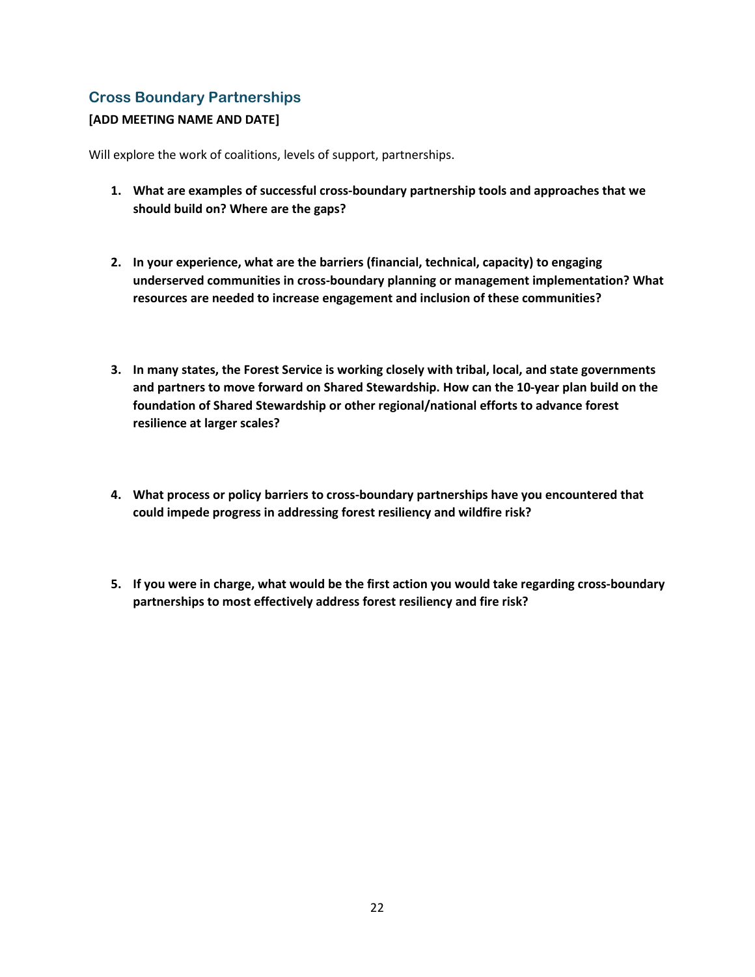### **Cross Boundary Partnerships**

#### **[ADD MEETING NAME AND DATE]**

Will explore the work of coalitions, levels of support, partnerships.

- **1. What are examples of successful cross-boundary partnership tools and approaches that we should build on? Where are the gaps?**
- **2. In your experience, what are the barriers (financial, technical, capacity) to engaging underserved communities in cross-boundary planning or management implementation? What resources are needed to increase engagement and inclusion of these communities?**
- **3. In many states, the Forest Service is working closely with tribal, local, and state governments and partners to move forward on Shared Stewardship. How can the 10-year plan build on the foundation of Shared Stewardship or other regional/national efforts to advance forest resilience at larger scales?**
- **4. What process or policy barriers to cross-boundary partnerships have you encountered that could impede progress in addressing forest resiliency and wildfire risk?**
- **5. If you were in charge, what would be the first action you would take regarding cross-boundary partnerships to most effectively address forest resiliency and fire risk?**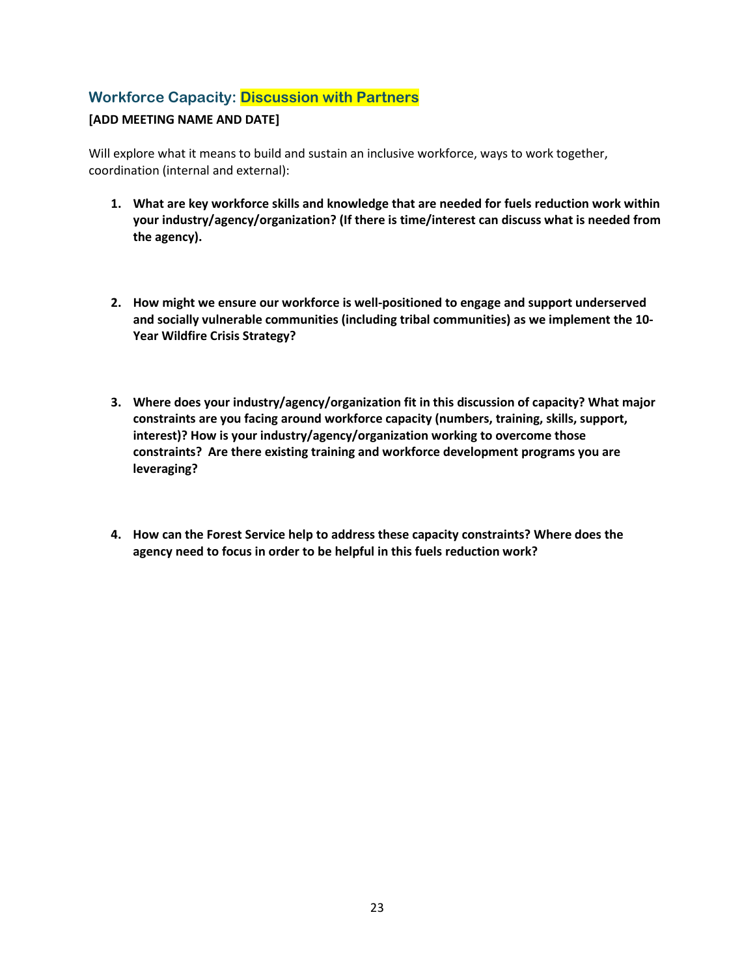### **Workforce Capacity: Discussion with Partners**

#### **[ADD MEETING NAME AND DATE]**

Will explore what it means to build and sustain an inclusive workforce, ways to work together, coordination (internal and external):

- **1. What are key workforce skills and knowledge that are needed for fuels reduction work within your industry/agency/organization? (If there is time/interest can discuss what is needed from the agency).**
- **2. How might we ensure our workforce is well-positioned to engage and support underserved and socially vulnerable communities (including tribal communities) as we implement the 10- Year Wildfire Crisis Strategy?**
- **3. Where does your industry/agency/organization fit in this discussion of capacity? What major constraints are you facing around workforce capacity (numbers, training, skills, support, interest)? How is your industry/agency/organization working to overcome those constraints? Are there existing training and workforce development programs you are leveraging?**
- **4. How can the Forest Service help to address these capacity constraints? Where does the agency need to focus in order to be helpful in this fuels reduction work?**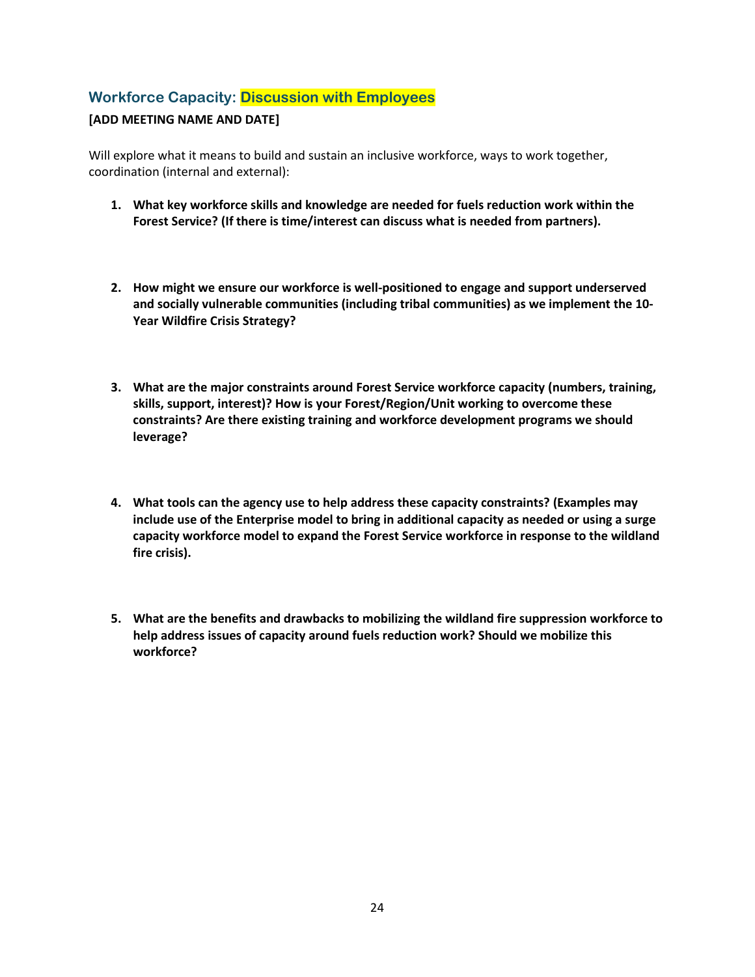### **Workforce Capacity: Discussion with Employees**

#### **[ADD MEETING NAME AND DATE]**

Will explore what it means to build and sustain an inclusive workforce, ways to work together, coordination (internal and external):

- **1. What key workforce skills and knowledge are needed for fuels reduction work within the Forest Service? (If there is time/interest can discuss what is needed from partners).**
- **2. How might we ensure our workforce is well-positioned to engage and support underserved and socially vulnerable communities (including tribal communities) as we implement the 10- Year Wildfire Crisis Strategy?**
- **3. What are the major constraints around Forest Service workforce capacity (numbers, training, skills, support, interest)? How is your Forest/Region/Unit working to overcome these constraints? Are there existing training and workforce development programs we should leverage?**
- **4. What tools can the agency use to help address these capacity constraints? (Examples may include use of the Enterprise model to bring in additional capacity as needed or using a surge capacity workforce model to expand the Forest Service workforce in response to the wildland fire crisis).**
- **5. What are the benefits and drawbacks to mobilizing the wildland fire suppression workforce to help address issues of capacity around fuels reduction work? Should we mobilize this workforce?**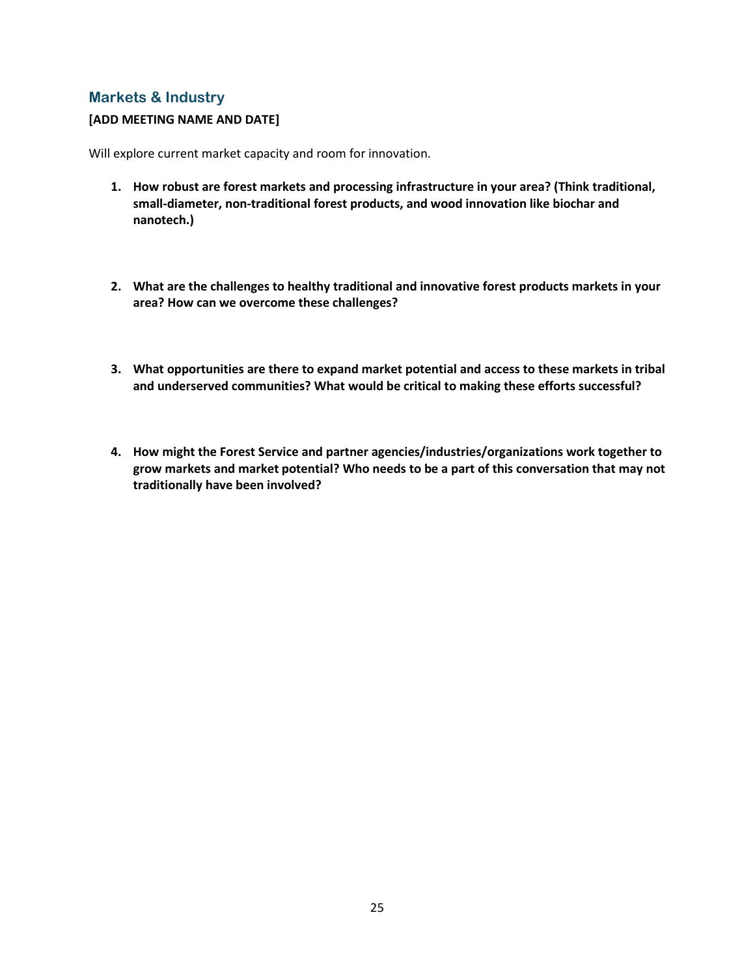### **Markets & Industry**

#### **[ADD MEETING NAME AND DATE]**

Will explore current market capacity and room for innovation.

- **1. How robust are forest markets and processing infrastructure in your area? (Think traditional, small-diameter, non-traditional forest products, and wood innovation like biochar and nanotech.)**
- **2. What are the challenges to healthy traditional and innovative forest products markets in your area? How can we overcome these challenges?**
- **3. What opportunities are there to expand market potential and access to these markets in tribal and underserved communities? What would be critical to making these efforts successful?**
- **4. How might the Forest Service and partner agencies/industries/organizations work together to grow markets and market potential? Who needs to be a part of this conversation that may not traditionally have been involved?**